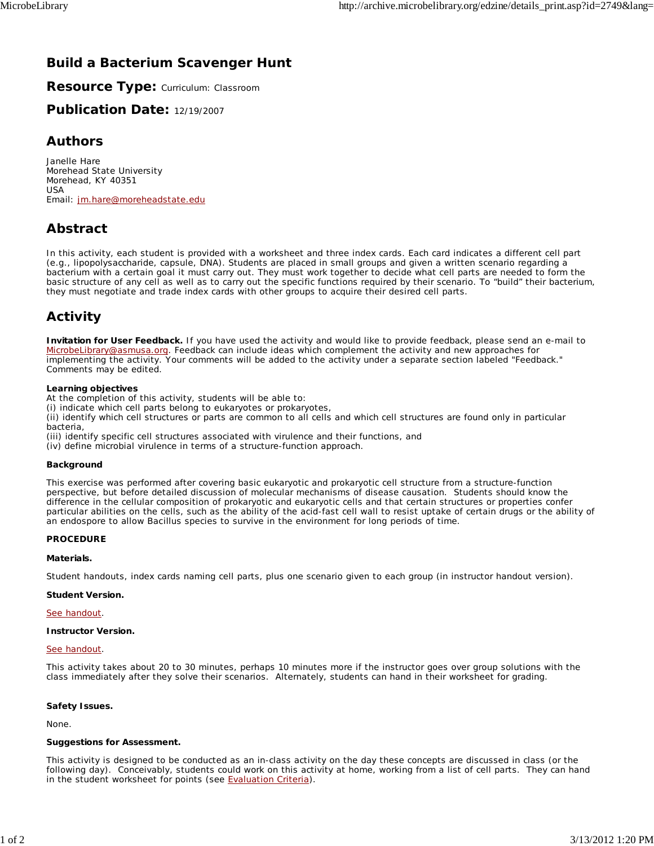## **Build a Bacterium Scavenger Hunt**

**Resource Type:** Curriculum: Classroom

**Publication Date:** 12/19/2007

### **Authors**

*Janelle Hare* Morehead State University Morehead, KY 40351 USA Email: jm.hare@moreheadstate.edu

## **Abstract**

In this activity, each student is provided with a worksheet and three index cards. Each card indicates a different cell part (e.g., lipopolysaccharide, capsule, DNA). Students are placed in small groups and given a written scenario regarding a bacterium with a certain goal it must carry out. They must work together to decide what cell parts are needed to form the basic structure of any cell as well as to carry out the specific functions required by their scenario. To "build" their bacterium, they must negotiate and trade index cards with other groups to acquire their desired cell parts.

## **Activity**

**Invitation for User Feedback.** If you have used the activity and would like to provide feedback, please send an e-mail to MicrobeLibrary@asmusa.org. Feedback can include ideas which complement the activity and new approaches for implementing the activity. Your comments will be added to the activity under a separate section labeled "Feedback." Comments may be edited.

### **Learning objectives**

At the completion of this activity, students will be able to:

(i) indicate which cell parts belong to eukaryotes or prokaryotes,

(ii) identify which cell structures or parts are common to all cells and which cell structures are found only in particular bacteria,

(iii) identify specific cell structures associated with virulence and their functions, and

(iv) define microbial virulence in terms of a structure-function approach.

#### **Background**

This exercise was performed after covering basic eukaryotic and prokaryotic cell structure from a structure-function perspective, but before detailed discussion of molecular mechanisms of disease causation. Students should know the difference in the cellular composition of prokaryotic and eukaryotic cells and that certain structures or properties confer particular abilities on the cells, such as the ability of the acid-fast cell wall to resist uptake of certain drugs or the ability of an endospore to allow *Bacillus* species to survive in the environment for long periods of time.

### **PROCEDURE**

#### **Materials.**

Student handouts, index cards naming cell parts, plus one scenario given to each group (in instructor handout version).

#### **Student Version.**

#### See handout.

#### **Instructor Version.**

#### See handout.

This activity takes about 20 to 30 minutes, perhaps 10 minutes more if the instructor goes over group solutions with the class immediately after they solve their scenarios. Alternately, students can hand in their worksheet for grading.

#### **Safety Issues.**

None.

### **Suggestions for Assessment.**

This activity is designed to be conducted as an in-class activity on the day these concepts are discussed in class (or the following day). Conceivably, students could work on this activity at home, working from a list of cell parts. They can hand in the student worksheet for points (see Evaluation Criteria).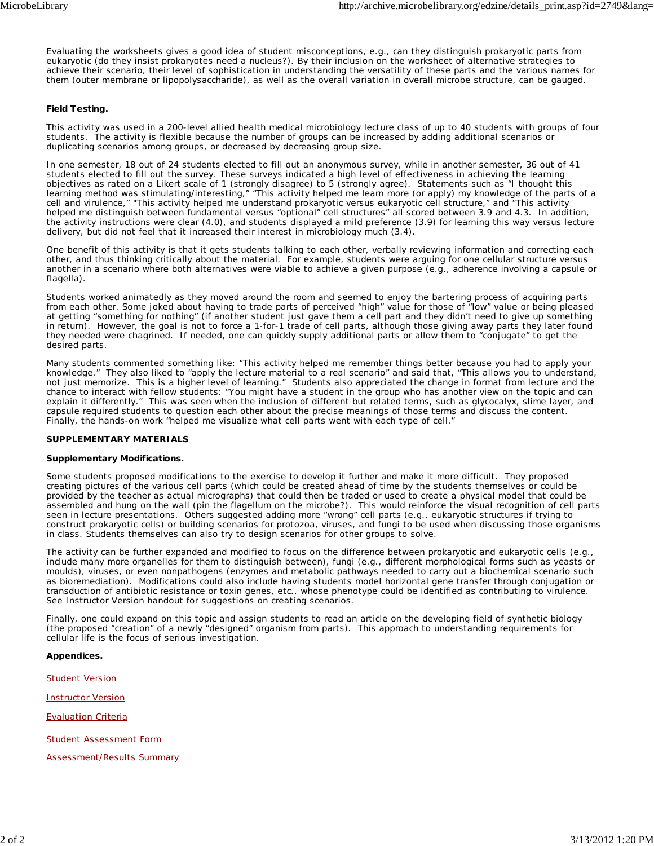Evaluating the worksheets gives a good idea of student misconceptions, e.g., can they distinguish prokaryotic parts from eukaryotic (do they insist prokaryotes need a nucleus?). By their inclusion on the worksheet of alternative strategies to achieve their scenario, their level of sophistication in understanding the versatility of these parts and the various names for them (outer membrane or lipopolysaccharide), as well as the overall variation in overall microbe structure, can be gauged.

### **Field Testing.**

This activity was used in a 200-level allied health medical microbiology lecture class of up to 40 students with groups of four students. The activity is flexible because the number of groups can be increased by adding additional scenarios or duplicating scenarios among groups, or decreased by decreasing group size.

In one semester, 18 out of 24 students elected to fill out an anonymous survey, while in another semester, 36 out of 41 students elected to fill out the survey. These surveys indicated a high level of effectiveness in achieving the learning objectives as rated on a Likert scale of 1 (strongly disagree) to 5 (strongly agree). Statements such as "I thought this learning method was stimulating/interesting," "This activity helped me learn more (or apply) my knowledge of the parts of a cell and virulence," "This activity helped me understand prokaryotic versus eukaryotic cell structure," and "This activity helped me distinguish between fundamental versus "optional" cell structures" all scored between 3.9 and 4.3. In addition, the activity instructions were clear (4.0), and students displayed a mild preference (3.9) for learning this way versus lecture delivery, but did not feel that it increased their interest in microbiology much (3.4).

One benefit of this activity is that it gets students talking to each other, verbally reviewing information and correcting each other, and thus thinking critically about the material. For example, students were arguing for one cellular structure versus another in a scenario where both alternatives were viable to achieve a given purpose (e.g., adherence involving a capsule or flagella).

Students worked animatedly as they moved around the room and seemed to enjoy the bartering process of acquiring parts from each other. Some joked about having to trade parts of perceived "high" value for those of "low" value or being pleased at getting "something for nothing" (if another student just gave them a cell part and they didn't need to give up something in return). However, the goal is not to force a 1-for-1 trade of cell parts, although those giving away parts they later found they needed were chagrined. If needed, one can quickly supply additional parts or allow them to "conjugate" to get the desired parts.

Many students commented something like: "This activity helped me remember things better because you had to apply your knowledge." They also liked to "apply the lecture material to a real scenario" and said that, "This allows you to understand, not just memorize. This is a higher level of learning." Students also appreciated the change in format from lecture and the chance to interact with fellow students: "You might have a student in the group who has another view on the topic and can explain it differently." This was seen when the inclusion of different but related terms, such as glycocalyx, slime layer, and capsule required students to question each other about the precise meanings of those terms and discuss the content. Finally, the hands-on work "helped me visualize what cell parts went with each type of cell."

### **SUPPLEMENTARY MATERIALS**

#### **Supplementary Modifications.**

Some students proposed modifications to the exercise to develop it further and make it more difficult. They proposed creating pictures of the various cell parts (which could be created ahead of time by the students themselves or could be provided by the teacher as actual micrographs) that could then be traded or used to create a physical model that could be assembled and hung on the wall (pin the flagellum on the microbe?). This would reinforce the visual recognition of cell parts seen in lecture presentations. Others suggested adding more "wrong" cell parts (e.g., eukaryotic structures if trying to construct prokaryotic cells) or building scenarios for protozoa, viruses, and fungi to be used when discussing those organisms in class. Students themselves can also try to design scenarios for other groups to solve.

The activity can be further expanded and modified to focus on the difference between prokaryotic and eukaryotic cells (e.g., include many more organelles for them to distinguish between), fungi (e.g., different morphological forms such as yeasts or moulds), viruses, or even nonpathogens (enzymes and metabolic pathways needed to carry out a biochemical scenario such as bioremediation). Modifications could also include having students model horizontal gene transfer through conjugation or transduction of antibiotic resistance or toxin genes, etc., whose phenotype could be identified as contributing to virulence. See Instructor Version handout for suggestions on creating scenarios.

Finally, one could expand on this topic and assign students to read an article on the developing field of synthetic biology (the proposed "creation" of a newly "designed" organism from parts). This approach to understanding requirements for cellular life is the focus of serious investigation.

**Appendices.**

**Student Version** 

Instructor Version

Evaluation Criteria

Student Assessment Form

Assessment/Results Summary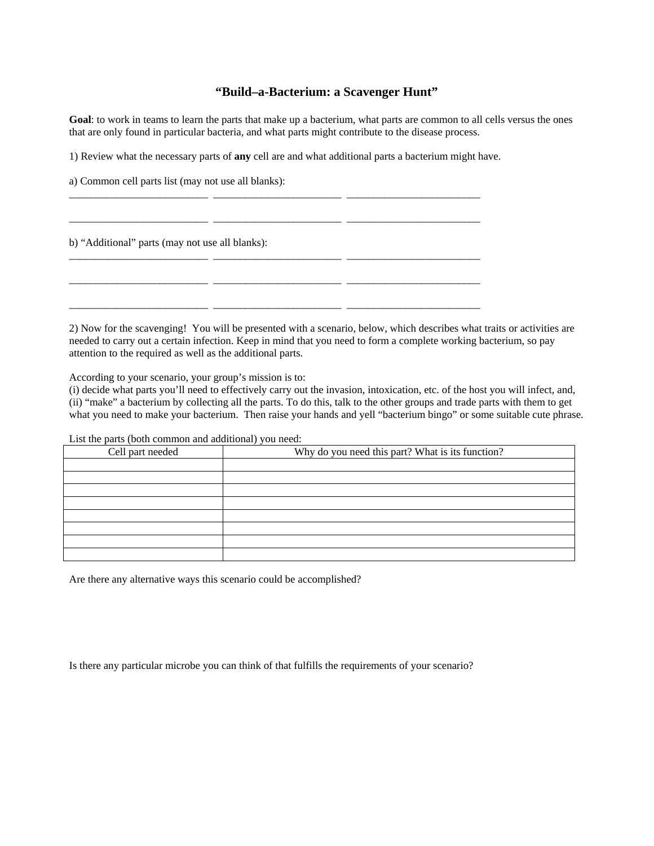### **"Build–a-Bacterium: a Scavenger Hunt"**

**Goal**: to work in teams to learn the parts that make up a bacterium, what parts are common to all cells versus the ones that are only found in particular bacteria, and what parts might contribute to the disease process.

 $\frac{1}{2}$  , and the set of the set of the set of the set of the set of the set of the set of the set of the set of the set of the set of the set of the set of the set of the set of the set of the set of the set of the set

\_\_\_\_\_\_\_\_\_\_\_\_\_\_\_\_\_\_\_\_\_\_\_\_\_\_ \_\_\_\_\_\_\_\_\_\_\_\_\_\_\_\_\_\_\_\_\_\_\_\_ \_\_\_\_\_\_\_\_\_\_\_\_\_\_\_\_\_\_\_\_\_\_\_\_\_

1) Review what the necessary parts of **any** cell are and what additional parts a bacterium might have.

\_\_\_\_\_\_\_\_\_\_\_\_\_\_\_\_\_\_\_\_\_\_\_\_\_\_ \_\_\_\_\_\_\_\_\_\_\_\_\_\_\_\_\_\_\_\_\_\_\_\_ \_\_\_\_\_\_\_\_\_\_\_\_\_\_\_\_\_\_\_\_\_\_\_\_\_

\_\_\_\_\_\_\_\_\_\_\_\_\_\_\_\_\_\_\_\_\_\_\_\_\_\_ \_\_\_\_\_\_\_\_\_\_\_\_\_\_\_\_\_\_\_\_\_\_\_\_ \_\_\_\_\_\_\_\_\_\_\_\_\_\_\_\_\_\_\_\_\_\_\_\_\_

a) Common cell parts list (may not use all blanks):

b) "Additional" parts (may not use all blanks):

2) Now for the scavenging! You will be presented with a scenario, below, which describes what traits or activities are needed to carry out a certain infection. Keep in mind that you need to form a complete working bacterium, so pay attention to the required as well as the additional parts.

According to your scenario, your group's mission is to:

(i) decide what parts you'll need to effectively carry out the invasion, intoxication, etc. of the host you will infect, and, (ii) "make" a bacterium by collecting all the parts. To do this, talk to the other groups and trade parts with them to get what you need to make your bacterium. Then raise your hands and yell "bacterium bingo" or some suitable cute phrase.

List the parts (both common and additional) you need:

| Cell part needed | Why do you need this part? What is its function? |  |  |  |
|------------------|--------------------------------------------------|--|--|--|
|                  |                                                  |  |  |  |
|                  |                                                  |  |  |  |
|                  |                                                  |  |  |  |
|                  |                                                  |  |  |  |
|                  |                                                  |  |  |  |
|                  |                                                  |  |  |  |
|                  |                                                  |  |  |  |
|                  |                                                  |  |  |  |

Are there any alternative ways this scenario could be accomplished?

Is there any particular microbe you can think of that fulfills the requirements of your scenario?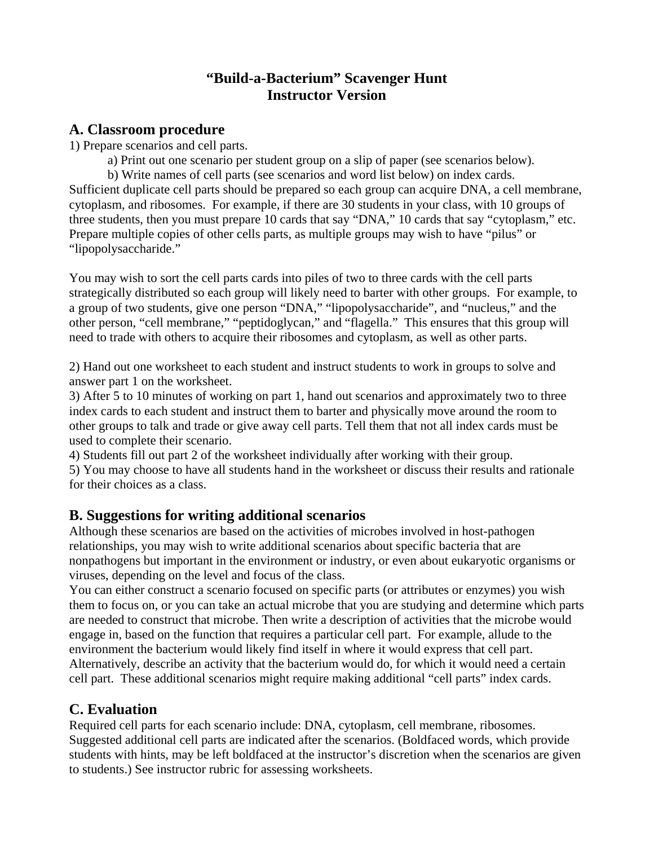## **"Build-a-Bacterium" Scavenger Hunt Instructor Version**

## **A. Classroom procedure**

1) Prepare scenarios and cell parts.

a) Print out one scenario per student group on a slip of paper (see scenarios below).

b) Write names of cell parts (see scenarios and word list below) on index cards. Sufficient duplicate cell parts should be prepared so each group can acquire DNA, a cell membrane, cytoplasm, and ribosomes. For example, if there are 30 students in your class, with 10 groups of three students, then you must prepare 10 cards that say "DNA," 10 cards that say "cytoplasm," etc. Prepare multiple copies of other cells parts, as multiple groups may wish to have "pilus" or "lipopolysaccharide."

You may wish to sort the cell parts cards into piles of two to three cards with the cell parts strategically distributed so each group will likely need to barter with other groups. For example, to a group of two students, give one person "DNA," "lipopolysaccharide", and "nucleus," and the other person, "cell membrane," "peptidoglycan," and "flagella." This ensures that this group will need to trade with others to acquire their ribosomes and cytoplasm, as well as other parts.

2) Hand out one worksheet to each student and instruct students to work in groups to solve and answer part 1 on the worksheet.

3) After 5 to 10 minutes of working on part 1, hand out scenarios and approximately two to three index cards to each student and instruct them to barter and physically move around the room to other groups to talk and trade or give away cell parts. Tell them that not all index cards must be used to complete their scenario.

4) Students fill out part 2 of the worksheet individually after working with their group.

5) You may choose to have all students hand in the worksheet or discuss their results and rationale for their choices as a class.

# **B. Suggestions for writing additional scenarios**

Although these scenarios are based on the activities of microbes involved in host-pathogen relationships, you may wish to write additional scenarios about specific bacteria that are nonpathogens but important in the environment or industry, or even about eukaryotic organisms or viruses, depending on the level and focus of the class.

You can either construct a scenario focused on specific parts (or attributes or enzymes) you wish them to focus on, or you can take an actual microbe that you are studying and determine which parts are needed to construct that microbe. Then write a description of activities that the microbe would engage in, based on the function that requires a particular cell part. For example, allude to the environment the bacterium would likely find itself in where it would express that cell part. Alternatively, describe an activity that the bacterium would do, for which it would need a certain cell part. These additional scenarios might require making additional "cell parts" index cards.

# **C. Evaluation**

Required cell parts for each scenario include: DNA, cytoplasm, cell membrane, ribosomes. Suggested additional cell parts are indicated after the scenarios. (Boldfaced words, which provide students with hints, may be left boldfaced at the instructor's discretion when the scenarios are given to students.) See instructor rubric for assessing worksheets.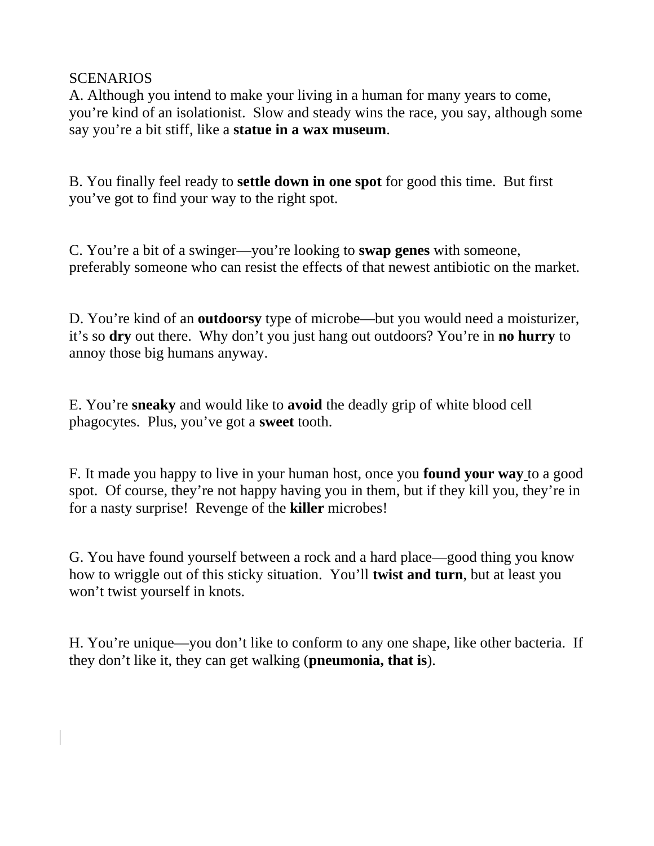## **SCENARIOS**

A. Although you intend to make your living in a human for many years to come, you're kind of an isolationist. Slow and steady wins the race, you say, although some say you're a bit stiff, like a **statue in a wax museum**.

B. You finally feel ready to **settle down in one spot** for good this time. But first you've got to find your way to the right spot.

C. You're a bit of a swinger—you're looking to **swap genes** with someone, preferably someone who can resist the effects of that newest antibiotic on the market.

D. You're kind of an **outdoorsy** type of microbe—but you would need a moisturizer, it's so **dry** out there. Why don't you just hang out outdoors? You're in **no hurry** to annoy those big humans anyway.

E. You're **sneaky** and would like to **avoid** the deadly grip of white blood cell phagocytes. Plus, you've got a **sweet** tooth.

F. It made you happy to live in your human host, once you **found your way** to a good spot. Of course, they're not happy having you in them, but if they kill you, they're in for a nasty surprise! Revenge of the **killer** microbes!

G. You have found yourself between a rock and a hard place—good thing you know how to wriggle out of this sticky situation. You'll **twist and turn**, but at least you won't twist yourself in knots.

H. You're unique—you don't like to conform to any one shape, like other bacteria. If they don't like it, they can get walking (**pneumonia, that is**).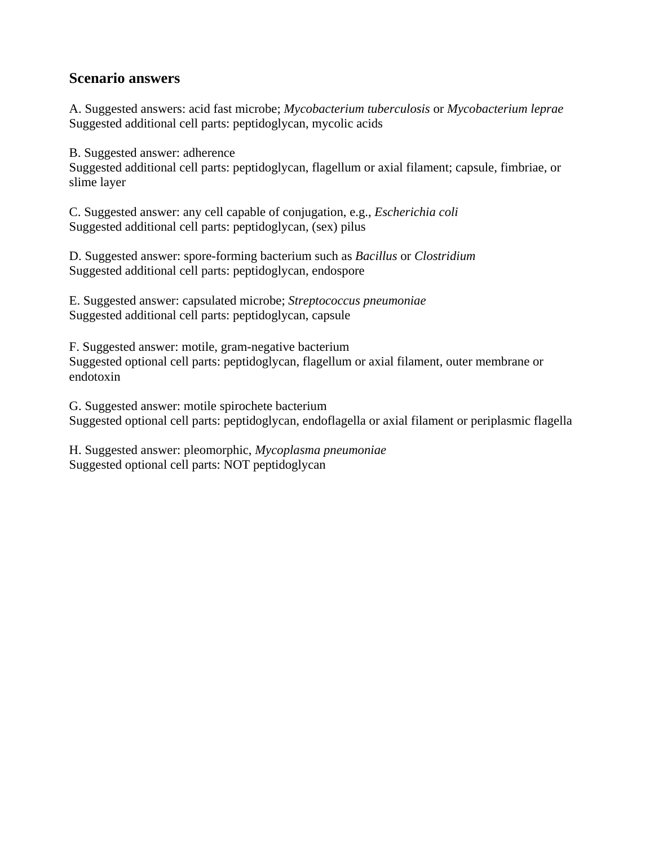## **Scenario answers**

A. Suggested answers: acid fast microbe; *Mycobacterium tuberculosis* or *Mycobacterium leprae* Suggested additional cell parts: peptidoglycan, mycolic acids

B. Suggested answer: adherence

Suggested additional cell parts: peptidoglycan, flagellum or axial filament; capsule, fimbriae, or slime layer

C. Suggested answer: any cell capable of conjugation, e.g., *Escherichia coli* Suggested additional cell parts: peptidoglycan, (sex) pilus

D. Suggested answer: spore-forming bacterium such as *Bacillus* or *Clostridium* Suggested additional cell parts: peptidoglycan, endospore

E. Suggested answer: capsulated microbe; *Streptococcus pneumoniae* Suggested additional cell parts: peptidoglycan, capsule

F. Suggested answer: motile, gram-negative bacterium Suggested optional cell parts: peptidoglycan, flagellum or axial filament, outer membrane or endotoxin

G. Suggested answer: motile spirochete bacterium Suggested optional cell parts: peptidoglycan, endoflagella or axial filament or periplasmic flagella

H. Suggested answer: pleomorphic, *Mycoplasma pneumoniae*  Suggested optional cell parts: NOT peptidoglycan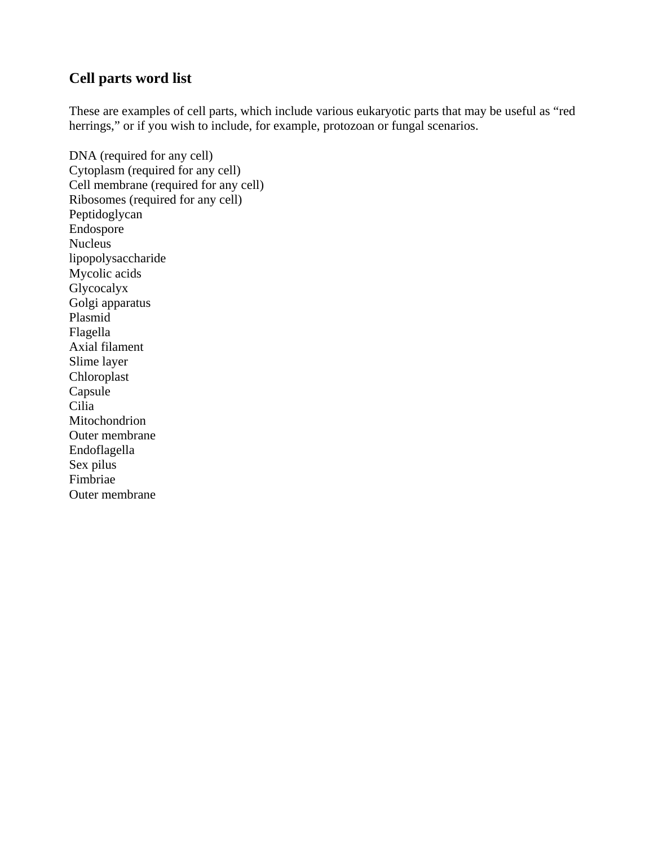## **Cell parts word list**

These are examples of cell parts, which include various eukaryotic parts that may be useful as "red herrings," or if you wish to include, for example, protozoan or fungal scenarios.

DNA (required for any cell) Cytoplasm (required for any cell) Cell membrane (required for any cell) Ribosomes (required for any cell) Peptidoglycan Endospore Nucleus lipopolysaccharide Mycolic acids Glycocalyx Golgi apparatus Plasmid Flagella Axial filament Slime layer Chloroplast Capsule Cilia Mitochondrion Outer membrane Endoflagella Sex pilus Fimbriae Outer membrane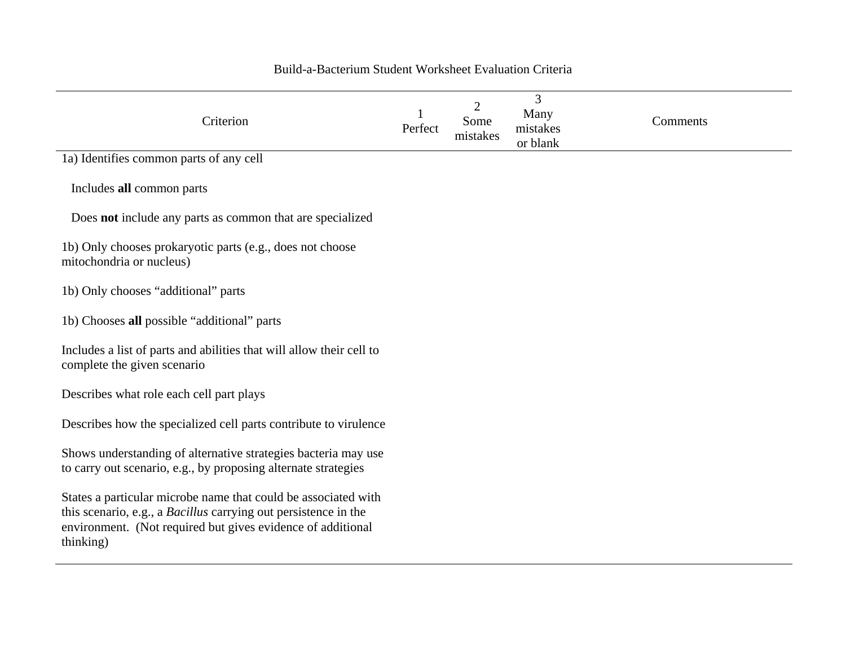| Criterion                                                                                                                                                                                                     | Perfect | 2<br>Some<br>mistakes | 3<br>Many<br>mistakes<br>or blank | Comments |
|---------------------------------------------------------------------------------------------------------------------------------------------------------------------------------------------------------------|---------|-----------------------|-----------------------------------|----------|
| 1a) Identifies common parts of any cell                                                                                                                                                                       |         |                       |                                   |          |
| Includes all common parts                                                                                                                                                                                     |         |                       |                                   |          |
| Does <b>not</b> include any parts as common that are specialized                                                                                                                                              |         |                       |                                   |          |
| 1b) Only chooses prokaryotic parts (e.g., does not choose<br>mitochondria or nucleus)                                                                                                                         |         |                       |                                   |          |
| 1b) Only chooses "additional" parts                                                                                                                                                                           |         |                       |                                   |          |
| 1b) Chooses all possible "additional" parts                                                                                                                                                                   |         |                       |                                   |          |
| Includes a list of parts and abilities that will allow their cell to<br>complete the given scenario                                                                                                           |         |                       |                                   |          |
| Describes what role each cell part plays                                                                                                                                                                      |         |                       |                                   |          |
| Describes how the specialized cell parts contribute to virulence                                                                                                                                              |         |                       |                                   |          |
| Shows understanding of alternative strategies bacteria may use<br>to carry out scenario, e.g., by proposing alternate strategies                                                                              |         |                       |                                   |          |
| States a particular microbe name that could be associated with<br>this scenario, e.g., a Bacillus carrying out persistence in the<br>environment. (Not required but gives evidence of additional<br>thinking) |         |                       |                                   |          |

### Build-a-Bacterium Student Worksheet Evaluation Criteria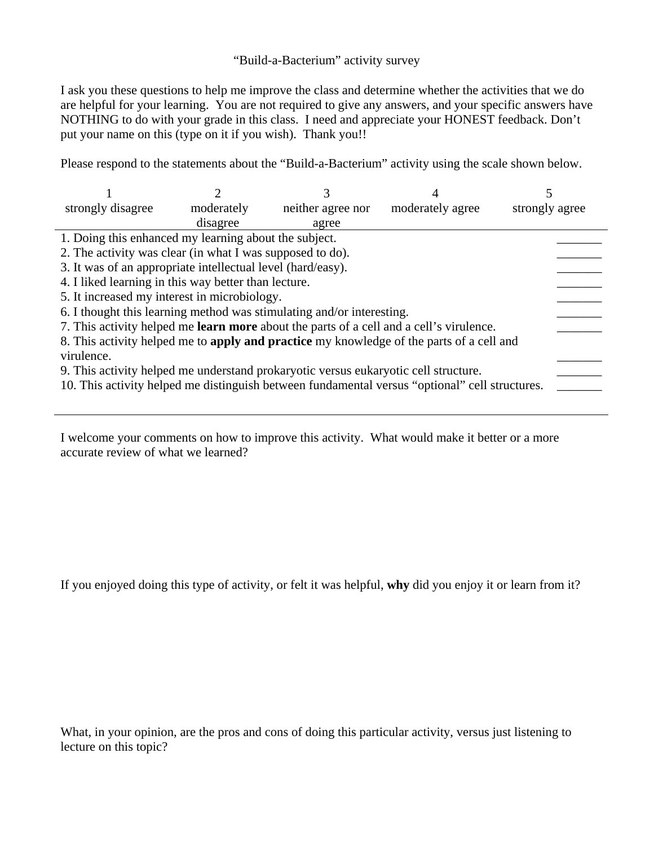## "Build-a-Bacterium" activity survey

I ask you these questions to help me improve the class and determine whether the activities that we do are helpful for your learning. You are not required to give any answers, and your specific answers have NOTHING to do with your grade in this class. I need and appreciate your HONEST feedback. Don't put your name on this (type on it if you wish). Thank you!!

Please respond to the statements about the "Build-a-Bacterium" activity using the scale shown below.

| strongly disagree                                                                               | moderately | neither agree nor | moderately agree | strongly agree |  |  |  |
|-------------------------------------------------------------------------------------------------|------------|-------------------|------------------|----------------|--|--|--|
|                                                                                                 | disagree   | agree             |                  |                |  |  |  |
| 1. Doing this enhanced my learning about the subject.                                           |            |                   |                  |                |  |  |  |
| 2. The activity was clear (in what I was supposed to do).                                       |            |                   |                  |                |  |  |  |
| 3. It was of an appropriate intellectual level (hard/easy).                                     |            |                   |                  |                |  |  |  |
| 4. I liked learning in this way better than lecture.                                            |            |                   |                  |                |  |  |  |
| 5. It increased my interest in microbiology.                                                    |            |                   |                  |                |  |  |  |
| 6. I thought this learning method was stimulating and/or interesting.                           |            |                   |                  |                |  |  |  |
| 7. This activity helped me <b>learn more</b> about the parts of a cell and a cell's virulence.  |            |                   |                  |                |  |  |  |
| 8. This activity helped me to <b>apply and practice</b> my knowledge of the parts of a cell and |            |                   |                  |                |  |  |  |
| virulence.                                                                                      |            |                   |                  |                |  |  |  |
| 9. This activity helped me understand prokaryotic versus eukaryotic cell structure.             |            |                   |                  |                |  |  |  |
| 10. This activity helped me distinguish between fundamental versus "optional" cell structures.  |            |                   |                  |                |  |  |  |
|                                                                                                 |            |                   |                  |                |  |  |  |

I welcome your comments on how to improve this activity. What would make it better or a more accurate review of what we learned?

If you enjoyed doing this type of activity, or felt it was helpful, **why** did you enjoy it or learn from it?

What, in your opinion, are the pros and cons of doing this particular activity, versus just listening to lecture on this topic?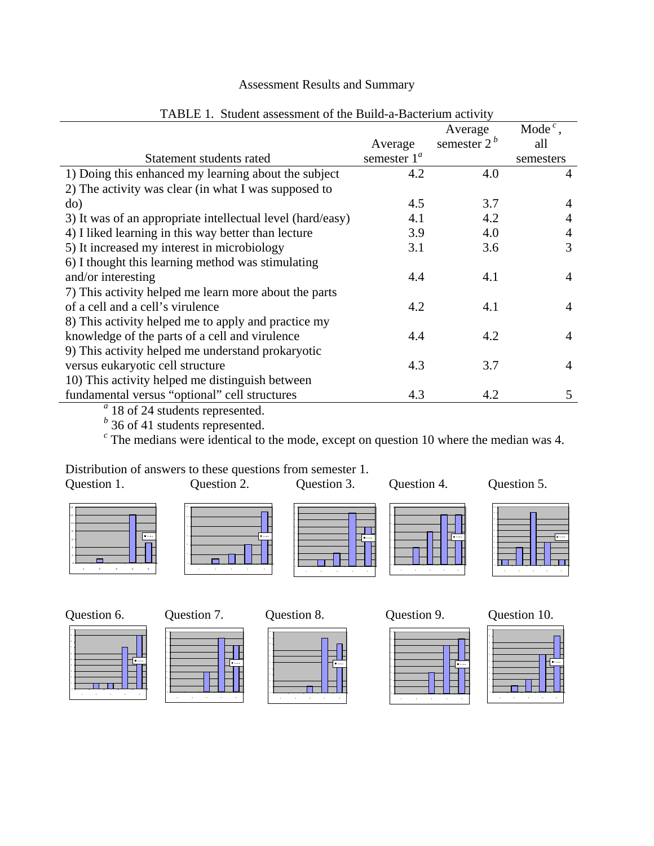## Assessment Results and Summary

|                                                            |                | Average       | Mode <sup><math>c</math></sup> , |
|------------------------------------------------------------|----------------|---------------|----------------------------------|
|                                                            | Average        | semester $2b$ | all                              |
| Statement students rated                                   | semester $1^a$ |               | semesters                        |
| 1) Doing this enhanced my learning about the subject       | 4.2            | 4.0           | 4                                |
| 2) The activity was clear (in what I was supposed to       |                |               |                                  |
| do)                                                        | 4.5            | 3.7           | 4                                |
| 3) It was of an appropriate intellectual level (hard/easy) | 4.1            | 4.2           | 4                                |
| 4) I liked learning in this way better than lecture        | 3.9            | 4.0           | 4                                |
| 5) It increased my interest in microbiology                | 3.1            | 3.6           | 3                                |
| 6) I thought this learning method was stimulating          |                |               |                                  |
| and/or interesting                                         | 4.4            | 4.1           | 4                                |
| 7) This activity helped me learn more about the parts      |                |               |                                  |
| of a cell and a cell's virulence                           | 4.2            | 4.1           | 4                                |
| 8) This activity helped me to apply and practice my        |                |               |                                  |
| knowledge of the parts of a cell and virulence             | 4.4            | 4.2           | 4                                |
| 9) This activity helped me understand prokaryotic          |                |               |                                  |
| versus eukaryotic cell structure                           | 4.3            | 3.7           | 4                                |
| 10) This activity helped me distinguish between            |                |               |                                  |
| fundamental versus "optional" cell structures              | 4.3            | 4.2           | 5                                |

### TABLE 1. Student assessment of the Build-a-Bacterium activity

<sup>*a*</sup> 18 of 24 students represented.<br> *b* 36 of 41 students represented.<br> *c* The medians were identical to the mode, except on question 10 where the median was 4.

Distribution of answers to these questions from semester 1.<br>Question 1. Question 2. Question 3. Question 1. Question 2. Question 3. Question 4. Question 5.









1 2 3 4 5







1 234 5

 $\Box$